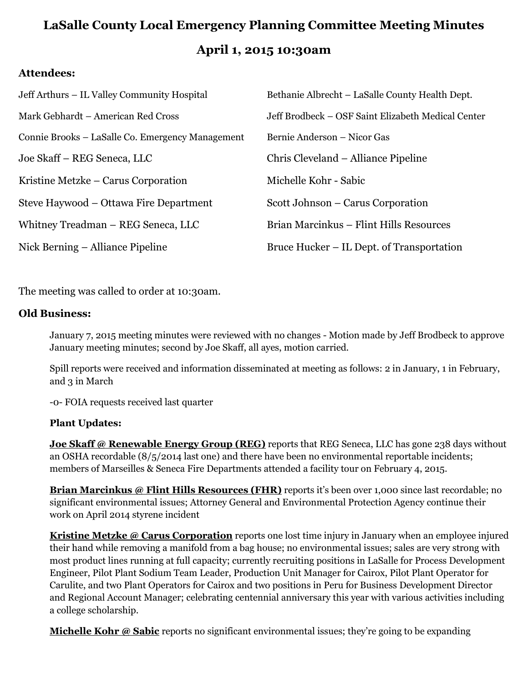# **LaSalle County Local Emergency Planning Committee Meeting Minutes April 1, 2015 10:30am**

#### **Attendees:**

| Jeff Arthurs – IL Valley Community Hospital      | Bethanie Albrecht - LaSalle County Health Dept.    |
|--------------------------------------------------|----------------------------------------------------|
| Mark Gebhardt – American Red Cross               | Jeff Brodbeck – OSF Saint Elizabeth Medical Center |
| Connie Brooks – LaSalle Co. Emergency Management | Bernie Anderson – Nicor Gas                        |
| Joe Skaff – REG Seneca, LLC                      | Chris Cleveland – Alliance Pipeline                |
| Kristine Metzke – Carus Corporation              | Michelle Kohr - Sabic                              |
| Steve Haywood – Ottawa Fire Department           | Scott Johnson – Carus Corporation                  |
| Whitney Treadman – REG Seneca, LLC               | Brian Marcinkus – Flint Hills Resources            |
| Nick Berning – Alliance Pipeline                 | Bruce Hucker – IL Dept. of Transportation          |

The meeting was called to order at 10:30am.

#### **Old Business:**

January 7, 2015 meeting minutes were reviewed with no changes - Motion made by Jeff Brodbeck to approve January meeting minutes; second by Joe Skaff, all ayes, motion carried.

Spill reports were received and information disseminated at meeting as follows: 2 in January, 1 in February, and 3 in March

-0- FOIA requests received last quarter

#### **Plant Updates:**

**Joe Skaff @ Renewable Energy Group (REG)** reports that REG Seneca, LLC has gone 238 days without an OSHA recordable (8/5/2014 last one) and there have been no environmental reportable incidents; members of Marseilles & Seneca Fire Departments attended a facility tour on February 4, 2015.

**Brian Marcinkus @ Flint Hills Resources (FHR)** reports it's been over 1,000 since last recordable; no significant environmental issues; Attorney General and Environmental Protection Agency continue their work on April 2014 styrene incident

**Kristine Metzke @ Carus Corporation** reports one lost time injury in January when an employee injured their hand while removing a manifold from a bag house; no environmental issues; sales are very strong with most product lines running at full capacity; currently recruiting positions in LaSalle for Process Development Engineer, Pilot Plant Sodium Team Leader, Production Unit Manager for Cairox, Pilot Plant Operator for Carulite, and two Plant Operators for Cairox and two positions in Peru for Business Development Director and Regional Account Manager; celebrating centennial anniversary this year with various activities including a college scholarship.

**Michelle Kohr @ Sabic** reports no significant environmental issues; they're going to be expanding